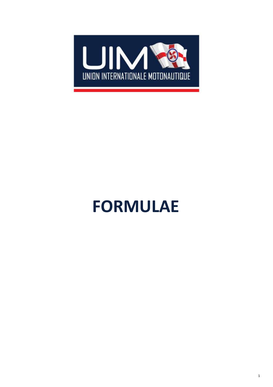

# **FORMULAE**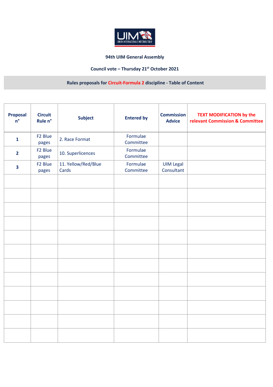

## **94th UIM General Assembly**

## **Council vote – Thursday 21st October 2021**

## **Rules proposals for Circuit-Formula 2 discipline - Table of Content**

| <b>Proposal</b><br>$n^{\circ}$ | <b>Circuit</b><br>Rule n°    | <b>Subject</b>               | <b>Entered by</b>     | <b>Commission</b><br><b>Advice</b> | <b>TEXT MODIFICATION by the</b><br>relevant Commission & Committee |
|--------------------------------|------------------------------|------------------------------|-----------------------|------------------------------------|--------------------------------------------------------------------|
| $\mathbf{1}$                   | F <sub>2</sub> Blue<br>pages | 2. Race Format               | Formulae<br>Committee |                                    |                                                                    |
| $\overline{2}$                 | F <sub>2</sub> Blue<br>pages | 10. Superlicences            | Formulae<br>Committee |                                    |                                                                    |
| $\overline{\mathbf{3}}$        | F <sub>2</sub> Blue<br>pages | 11. Yellow/Red/Blue<br>Cards | Formulae<br>Committee | <b>UIM Legal</b><br>Consultant     |                                                                    |
|                                |                              |                              |                       |                                    |                                                                    |
|                                |                              |                              |                       |                                    |                                                                    |
|                                |                              |                              |                       |                                    |                                                                    |
|                                |                              |                              |                       |                                    |                                                                    |
|                                |                              |                              |                       |                                    |                                                                    |
|                                |                              |                              |                       |                                    |                                                                    |
|                                |                              |                              |                       |                                    |                                                                    |
|                                |                              |                              |                       |                                    |                                                                    |
|                                |                              |                              |                       |                                    |                                                                    |
|                                |                              |                              |                       |                                    |                                                                    |
|                                |                              |                              |                       |                                    |                                                                    |
|                                |                              |                              |                       |                                    |                                                                    |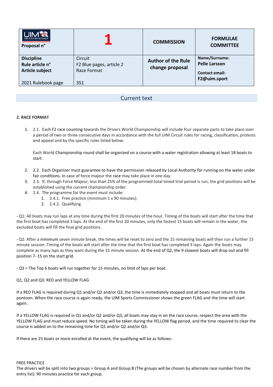| <b>UIM®</b><br>UNION INTERNATIONALE MOTONAUTICE<br>Proposal n° |                                                    | <b>COMMISSION</b>                            | <b>FORMULAE</b><br><b>COMMITTEE</b>                            |
|----------------------------------------------------------------|----------------------------------------------------|----------------------------------------------|----------------------------------------------------------------|
| <b>Discipline</b><br>Rule article n°<br><b>Article subject</b> | Circuit<br>F2 Blue pages, article 2<br>Race Format | <b>Author of the Rule</b><br>change proposal | Name/Surname:<br><b>Pelle Larsson</b><br><b>Contact email:</b> |
| 2021 Rulebook page                                             | 351                                                |                                              | F2@uim.sport                                                   |

## Current text

#### **2. RACE FORMAT**

1. 2.1. Each F2 race counting towards the Drivers World Championship will include four separate parts to take place over a period of two or three consecutive days in accordance with the full UIM Circuit rules for racing, classification, protests and appeal and by the specific rules listed below.

Each World Championship round shall be organized on a course with a water registration allowing at least 18 boats to start.

- 2. 2.2. Each Organizer must guarantee to have the permission released by Local Authority for running on the water under fair conditions. In case of force majeur the race may take place in one day.
- 3. 2.3. If, through Force Majeur, less than 25% of the programmed total timed trial period is run, the grid positions will be established using the current championship order.
- 4. 2.4. The programme for the event must include:
	- 1. 2.4.1. Free practice (minimum 1 x 90 minutes);
		- 2. 2.4.2. Qualifying

- Q1: All boats may run laps at any time during the first 20 minutes of the hour. Timing of the boats will start after the time that the first boat has completed 3 laps. At the end of the first 20 minutes, only the fastest 15 boats will remain in the water, the excluded boats will fill the final grid positions.

- Q2: After a minimum seven minute break, the times will be reset to zero and the 15 remaining boats will then run a further 15 minute session. Timing of the boats will start after the time that the first boat has completed 3 laps. Again the boats may complete as many laps as they want during the 15 minute session. At the end of Q2, the 9 slowest boats will drop out and fill position 7- 15 on the start grid.

- Q3 = The Top 6 boats will run together for 15 minutes, no limit of laps per boat.

#### Q1, Q2 and Q3: RED and YELLOW FLAG

If a RED FLAG is required during Q1 and/or Q2 and/or Q3, the time is immediately stopped and all boats must return to the pontoon. When the race course is again ready, the UIM Sports Commissioner shows the green FLAG and the time will start again.

If a YELLOW FLAG is required in Q1 and/or Q2 and/or Q3, all boats may stay in on the race course, respect the area with the YELLOW FLAG and must reduce speed. No timing will be taken during the YELLOW flag period, and the time required to clear the course is added on to the remaining time for Q1 and/or Q2 and/or Q3.

If there are 25 boats or more enrolled at the event, the qualifying will be as follows:

#### FREE PRACTICE

The drivers will be split into two groups = Group A and Group B (The groups will be chosen by alternate race number from the entry list). 90 minutes practice for each group.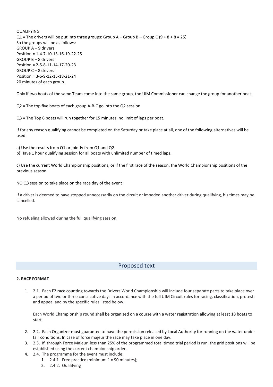QUALIFYING  $Q1$  = The drivers will be put into three groups: Group A – Group B – Group C (9 + 8 + 8 = 25) So the groups will be as follows: GROUP A – 9 drivers Position = 1-4-7-10-13-16-19-22-25 GROUP B – 8 drivers Position = 2-5-8-11-14-17-20-23 GROUP C – 8 drivers Position = 3-6-9-12-15-18-21-24 20 minutes of each group.

Only if two boats of the same Team come into the same group, the UIM Commissioner can change the group for another boat.

Q2 = The top five boats of each group A-B-C go into the Q2 session

Q3 = The Top 6 boats will run together for 15 minutes, no limit of laps per boat.

If for any reason qualifying cannot be completed on the Saturday or take place at all, one of the following alternatives will be used:

a) Use the results from Q1 or jointly from Q1 and Q2.

b) Have 1 hour qualifying session for all boats with unlimited number of timed laps.

c) Use the current World Championship positions, or if the first race of the season, the World Championship positions of the previous season.

NO Q3 session to take place on the race day of the event

If a driver is deemed to have stopped unnecessarily on the circuit or impeded another driver during qualifying, his times may be cancelled.

No refueling allowed during the full qualifying session.

## Proposed text

#### **2. RACE FORMAT**

1. 2.1. Each F2 race counting towards the Drivers World Championship will include four separate parts to take place over a period of two or three consecutive days in accordance with the full UIM Circuit rules for racing, classification, protests and appeal and by the specific rules listed below.

Each World Championship round shall be organized on a course with a water registration allowing at least 18 boats to start.

- 2. 2.2. Each Organizer must guarantee to have the permission released by Local Authority for running on the water under fair conditions. In case of force majeur the race may take place in one day.
- 3. 2.3. If, through Force Majeur, less than 25% of the programmed total timed trial period is run, the grid positions will be established using the current championship order.
- 4. 2.4. The programme for the event must include:
	- 1. 2.4.1. Free practice (minimum 1 x 90 minutes);
		- 2. 2.4.2. Qualifying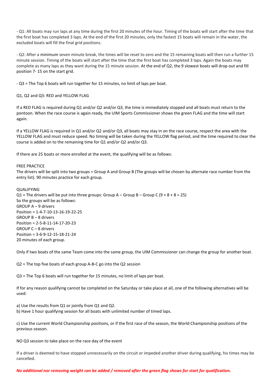- Q1: All boats may run laps at any time during the first 20 minutes of the hour. Timing of the boats will start after the time that the first boat has completed 3 laps. At the end of the first 20 minutes, only the fastest 15 boats will remain in the water, the excluded boats will fill the final grid positions.

- Q2: After a minimum seven minute break, the times will be reset to zero and the 15 remaining boats will then run a further 15 minute session. Timing of the boats will start after the time that the first boat has completed 3 laps. Again the boats may complete as many laps as they want during the 15 minute session. At the end of Q2, the 9 slowest boats will drop out and fill position 7- 15 on the start grid.

- Q3 = The Top 6 boats will run together for 15 minutes, no limit of laps per boat.

Q1, Q2 and Q3: RED and YELLOW FLAG

If a RED FLAG is required during Q1 and/or Q2 and/or Q3, the time is immediately stopped and all boats must return to the pontoon. When the race course is again ready, the UIM Sports Commissioner shows the green FLAG and the time will start again.

If a YELLOW FLAG is required in Q1 and/or Q2 and/or Q3, all boats may stay in on the race course, respect the area with the YELLOW FLAG and must reduce speed. No timing will be taken during the YELLOW flag period, and the time required to clear the course is added on to the remaining time for Q1 and/or Q2 and/or Q3.

If there are 25 boats or more enrolled at the event, the qualifying will be as follows:

#### FREE PRACTICE

The drivers will be split into two groups = Group A and Group B (The groups will be chosen by alternate race number from the entry list). 90 minutes practice for each group.

#### QUALIFYING

Q1 = The drivers will be put into three groups: Group A – Group B – Group C (9 + 8 + 8 = 25) So the groups will be as follows: GROUP A – 9 drivers Position = 1-4-7-10-13-16-19-22-25 GROUP B – 8 drivers Position = 2-5-8-11-14-17-20-23 GROUP C – 8 drivers Position = 3-6-9-12-15-18-21-24 20 minutes of each group.

Only if two boats of the same Team come into the same group, the UIM Commissioner can change the group for another boat.

Q2 = The top five boats of each group A-B-C go into the Q2 session

Q3 = The Top 6 boats will run together for 15 minutes, no limit of laps per boat.

If for any reason qualifying cannot be completed on the Saturday or take place at all, one of the following alternatives will be used:

a) Use the results from Q1 or jointly from Q1 and Q2.

b) Have 1 hour qualifying session for all boats with unlimited number of timed laps.

c) Use the current World Championship positions, or if the first race of the season, the World Championship positions of the previous season.

NO Q3 session to take place on the race day of the event

If a driver is deemed to have stopped unnecessarily on the circuit or impeded another driver during qualifying, his times may be cancelled.

*No additional nor removing weight can be added / removed after the green flag shows for start for qualification.*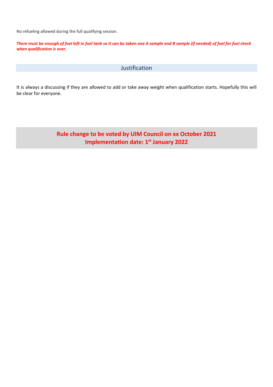No refueling allowed during the full qualifying session.

*There must be enough of fuel left in fuel tank so it can be taken one A sample and B sample (if needed) of fuel for fuel check when qualification is over.* 

## Justification

It is always a discussing if they are allowed to add or take away weight when qualification starts. Hopefully this will be clear for everyone.

> **Rule change to be voted by UIM Council on xx October 2021 Implementation date: 1st January 2022**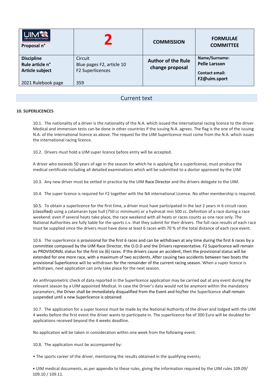| <b>UIM®</b><br>UNION INTERNATIONALE MOTONAUTIQUE<br>Proposal n°               |                                                                 | <b>COMMISSION</b>                            | <b>FORMULAE</b><br><b>COMMITTEE</b>                                            |
|-------------------------------------------------------------------------------|-----------------------------------------------------------------|----------------------------------------------|--------------------------------------------------------------------------------|
| <b>Discipline</b><br>Rule article n°<br>Article subject<br>2021 Rulebook page | Circuit<br>Blue pages F2, article 10<br>F2 Superlicences<br>359 | <b>Author of the Rule</b><br>change proposal | Name/Surname:<br><b>Pelle Larsson</b><br><b>Contact email:</b><br>F2@uim.sport |

## Current text

#### **10. SUPERLICENCES**

10.1. The nationality of a driver is the nationality of the N.A. which issued the international racing licence to the driver. Medical and immersion tests can be done in other countries if the issuing N.A. agrees. The flag is the one of the issuing N.A. of the international licence as above. The request for the UIM Superlicence must come from the N.A. which issues the international racing licence.

10.2. Drivers must hold a UIM super licence before entry will be accepted.

A driver who exceeds 50 years of age in the season for which he is applying for a superlicense, must produce the medical certificate including all detailed examinations which will be submitted to a doctor approved by the UIM

10.3. Any new driver must be vetted in practice by the UIM Race Director and the drivers delegate to the UIM.

10.4. The super licence is required for F2 together with the NA international Licence. No other membership is required.

10.5. To obtain a superlicence for the first time, a driver must have participated in the last 2 years in 6 circuit races (classified) using a catamaran type hull (750 cc minimum) or a hydrocat min 500 cc. Definition of a race during a race weekend: even if several heats take place, the race weekend with all heats or races counts as one race only. The National Authorities are fully liable for the sports c.v. that they submit for their drivers. The full race results of each race must be supplied since the drivers must have done at least 6 races with 70 % of the total distance of each race event.

10.6. The superlicence is provisional for the first 6 races and can be withdrawn at any time during the first 6 races by a committee composed by the UIM Race Director, the O.O.D and the Drivers representative. F2 Superlicence will remain as PROVISIONAL status for the first six (6) races. If the drivers cause an accident, then the provisional status will be extended for one more race, with a maximum of two accidents. After causing two accidents between two boats the provisional Superlicence will be withdrawn for the remainder of the current racing season. When a super licence is withdrawn, next application can only take place for the next season.

An anthropometric check of data reported in the Superlicence application may be carried out at any event during the relevant season by a UIM appointed Medical. In case the Driver's data would not be anymore within the mandatory parameters, the Driver shall be immediately disqualified from the Event and his/her the Superlicence shall remain suspended until a new Superlicence is obtained.

10.7. The application for a super licence must be made by the National Authority of the driver and lodged with the UIM 4 weeks before the first event the driver wants to participate in. The superlicence fee of 300 Euro will be doubled for applications received beyond the 4 weeks deadline.

No application will be taken in consideration within one week from the following event.

10.8. The application must be accompanied by:

• The sports career of the driver, mentioning the results obtained in the qualifying events;

• UIM medical documents, as per appendix to these rules, giving the information required by the UIM rules 109.09/ 109.10 / 109.11.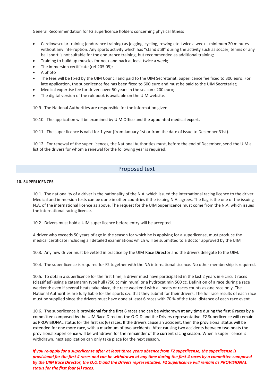General Recommendation for F2 superlicence holders concerning physical fitness

- Cardiovascular training (endurance training) as jogging, cycling, rowing etc. twice a week minimum 20 minutes without any interruption. Any sports activity which has "stand still" during the activity such as soccer, tennis or any ball sport is not suitable for the endurance training, but recommended as additional training;
- Training to build up muscles for neck and back at least twice a week;
- The immersion certificate (ref 205.05);
- A photo
- The fees will be fixed by the UIM Council and paid to the UIM Secretariat. Superlicence fee fixed to 300 euro. For late application, the superlicence fee has been fixed to 600 euro and must be paid to the UIM Secretariat;
- Medical expertise fee for drivers over 50 years in the season : 200 euro;
- The digital version of the rulebook is available on the UIM website.

10.9. The National Authorities are responsible for the information given.

10.10. The application will be examined by UIM Office and the appointed medical expert.

10.11. The super licence is valid for 1 year (from January 1st or from the date of issue to December 31st).

10.12. For renewal of the super licences, the National Authorities must, before the end of December, send the UIM a list of the drivers for whom a renewal for the following year is required.

## Proposed text

#### **10. SUPERLICENCES**

10.1. The nationality of a driver is the nationality of the N.A. which issued the international racing licence to the driver. Medical and immersion tests can be done in other countries if the issuing N.A. agrees. The flag is the one of the issuing N.A. of the international licence as above. The request for the UIM Superlicence must come from the N.A. which issues the international racing licence.

10.2. Drivers must hold a UIM super licence before entry will be accepted.

A driver who exceeds 50 years of age in the season for which he is applying for a superlicense, must produce the medical certificate including all detailed examinations which will be submitted to a doctor approved by the UIM

10.3. Any new driver must be vetted in practice by the UIM Race Director and the drivers delegate to the UIM.

10.4. The super licence is required for F2 together with the NA international Licence. No other membership is required.

10.5. To obtain a superlicence for the first time, a driver must have participated in the last 2 years in 6 circuit races (classified) using a catamaran type hull (750 cc minimum) or a hydrocat min 500 cc. Definition of a race during a race weekend: even if several heats take place, the race weekend with all heats or races counts as one race only. The National Authorities are fully liable for the sports c.v. that they submit for their drivers. The full race results of each race must be supplied since the drivers must have done at least 6 races with 70 % of the total distance of each race event.

10.6. The superlicence is provisional for the first 6 races and can be withdrawn at any time during the first 6 races by a committee composed by the UIM Race Director, the O.O.D and the Drivers representative. F2 Superlicence will remain as PROVISIONAL status for the first six (6) races. If the drivers cause an accident, then the provisional status will be extended for one more race, with a maximum of two accidents. After causing two accidents between two boats the provisional Superlicence will be withdrawn for the remainder of the current racing season. When a super licence is withdrawn, next application can only take place for the next season.

*If you re-apply for a superlicense after at least three years absence from F2 superlicense, the superlicense is provisional for the first 4 races and can be withdrawn at any time during the first 4 races by a committee composed by the UIM Race Director, the O.O.D and the Drivers representative. F2 Superlicence will remain as PROVISIONAL status for the first four (4) races.*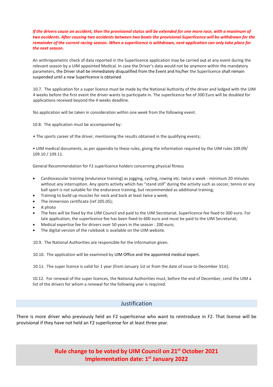*If the drivers cause an accident, then the provisional status will be extended for one more race, with a maximum of two accidents. After causing two accidents between two boats the provisional Superlicence will be withdrawn for the remainder of the current racing season. When a superlicence is withdrawn, next application can only take place for the next season.*

An anthropometric check of data reported in the Superlicence application may be carried out at any event during the relevant season by a UIM appointed Medical. In case the Driver's data would not be anymore within the mandatory parameters, the Driver shall be immediately disqualified from the Event and his/her the Superlicence shall remain suspended until a new Superlicence is obtained.

10.7. The application for a super licence must be made by the National Authority of the driver and lodged with the UIM 4 weeks before the first event the driver wants to participate in. The superlicence fee of 300 Euro will be doubled for applications received beyond the 4 weeks deadline.

No application will be taken in consideration within one week from the following event.

10.8. The application must be accompanied by:

• The sports career of the driver, mentioning the results obtained in the qualifying events;

• UIM medical documents, as per appendix to these rules, giving the information required by the UIM rules 109.09/ 109.10 / 109.11.

General Recommendation for F2 superlicence holders concerning physical fitness

- Cardiovascular training (endurance training) as jogging, cycling, rowing etc. twice a week minimum 20 minutes without any interruption. Any sports activity which has "stand still" during the activity such as soccer, tennis or any ball sport is not suitable for the endurance training, but recommended as additional training;
- Training to build up muscles for neck and back at least twice a week;
- The immersion certificate (ref 205.05);
- A photo
- The fees will be fixed by the UIM Council and paid to the UIM Secretariat. Superlicence fee fixed to 300 euro. For late application, the superlicence fee has been fixed to 600 euro and must be paid to the UIM Secretariat;
- Medical expertise fee for drivers over 50 years in the season : 200 euro;
- The digital version of the rulebook is available on the UIM website.

10.9. The National Authorities are responsible for the information given.

10.10. The application will be examined by UIM Office and the appointed medical expert.

10.11. The super licence is valid for 1 year (from January 1st or from the date of issue to December 31st).

10.12. For renewal of the super licences, the National Authorities must, before the end of December, send the UIM a list of the drivers for whom a renewal for the following year is required.

#### Justification

There is more driver who previously held an F2 superlicense who want to reintroduce in F2. That license will be provisional if they have not held an F2 superlicense for at least three year.

> **Rule change to be voted by UIM Council on 21st October 2021 Implementation date: 1st January 2022**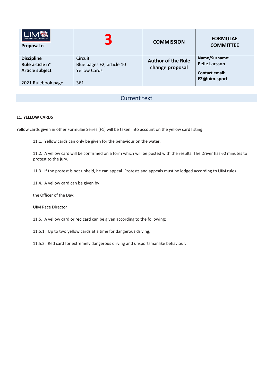| <b>IN THE HILL</b><br>UNION INTERNATIONALE MOTONAUTIQUE<br>Proposal n° | $\blacksquare$<br>5                                         | <b>COMMISSION</b>                            | <b>FORMULAE</b><br><b>COMMITTEE</b>                            |
|------------------------------------------------------------------------|-------------------------------------------------------------|----------------------------------------------|----------------------------------------------------------------|
| <b>Discipline</b><br>Rule article n°<br>Article subject                | Circuit<br>Blue pages F2, article 10<br><b>Yellow Cards</b> | <b>Author of the Rule</b><br>change proposal | Name/Surname:<br><b>Pelle Larsson</b><br><b>Contact email:</b> |
| 2021 Rulebook page                                                     | 361                                                         |                                              | F2@uim.sport                                                   |

## Current text

#### **11. YELLOW CARDS**

Yellow cards given in other Formulae Series (F1) will be taken into account on the yellow card listing.

11.1. Yellow cards can only be given for the behaviour on the water.

11.2. A yellow card will be confirmed on a form which will be posted with the results. The Driver has 60 minutes to protest to the jury.

11.3. If the protest is not upheld, he can appeal. Protests and appeals must be lodged according to UIM rules.

11.4. A yellow card can be given by:

the Officer of the Day;

UIM Race Director

11.5. A yellow card or red card can be given according to the following:

11.5.1. Up to two yellow cards at a time for dangerous driving;

11.5.2. Red card for extremely dangerous driving and unsportsmanlike behaviour.